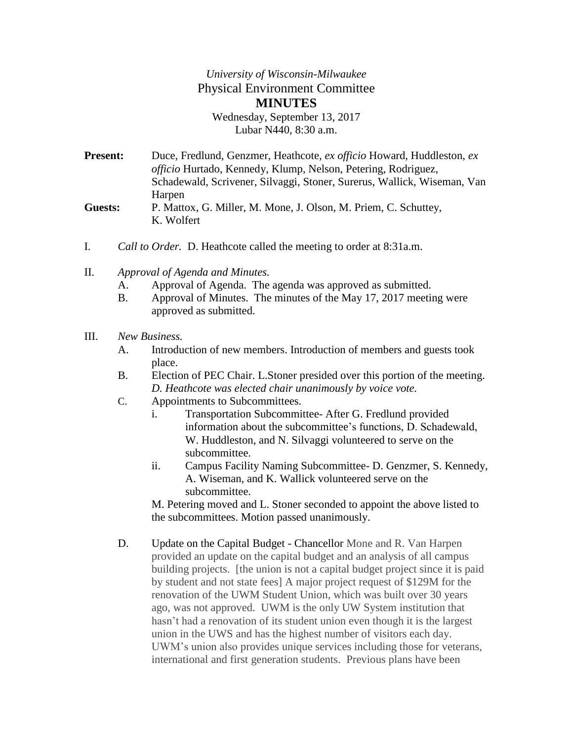## *University of Wisconsin-Milwaukee* Physical Environment Committee **MINUTES** Wednesday, September 13, 2017

Lubar N440, 8:30 a.m.

- **Present:** Duce, Fredlund, Genzmer, Heathcote, *ex officio* Howard, Huddleston, *ex officio* Hurtado, Kennedy, Klump, Nelson, Petering, Rodriguez, Schadewald, Scrivener, Silvaggi, Stoner, Surerus, Wallick, Wiseman, Van Harpen **Guests:** P. Mattox, G. Miller, M. Mone, J. Olson, M. Priem, C. Schuttey, K. Wolfert
- I. *Call to Order.* D. Heathcote called the meeting to order at 8:31a.m.
- II. *Approval of Agenda and Minutes.*
	- A. Approval of Agenda. The agenda was approved as submitted.
	- B. Approval of Minutes. The minutes of the May 17, 2017 meeting were approved as submitted.

## III. *New Business.*

- A. Introduction of new members. Introduction of members and guests took place.
- B. Election of PEC Chair. L.Stoner presided over this portion of the meeting. *D. Heathcote was elected chair unanimously by voice vote.*
- C. Appointments to Subcommittees.
	- i. Transportation Subcommittee- After G. Fredlund provided information about the subcommittee's functions, D. Schadewald, W. Huddleston, and N. Silvaggi volunteered to serve on the subcommittee.
	- ii. Campus Facility Naming Subcommittee- D. Genzmer, S. Kennedy, A. Wiseman, and K. Wallick volunteered serve on the subcommittee.

M. Petering moved and L. Stoner seconded to appoint the above listed to the subcommittees. Motion passed unanimously.

D. Update on the Capital Budget - Chancellor Mone and R. Van Harpen provided an update on the capital budget and an analysis of all campus building projects. [the union is not a capital budget project since it is paid by student and not state fees] A major project request of \$129M for the renovation of the UWM Student Union, which was built over 30 years ago, was not approved. UWM is the only UW System institution that hasn't had a renovation of its student union even though it is the largest union in the UWS and has the highest number of visitors each day. UWM's union also provides unique services including those for veterans, international and first generation students. Previous plans have been